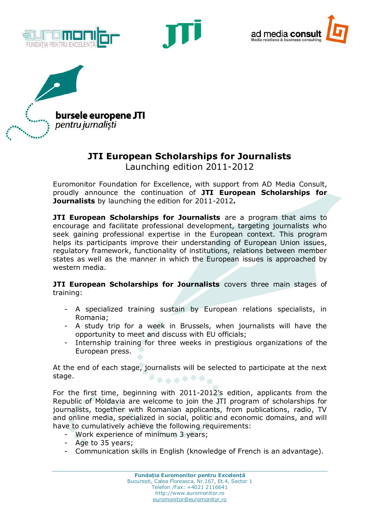







## **JTI European Scholarships for Journalists**

Launching edition 2011-2012

Euromonitor Foundation for Excellence, with support from AD Media Consult, proudly announce the continuation of **JTI European Scholarships for Journalists** by launching the edition for 2011-2012*.*

**JTI European Scholarships for Journalists** are a program that aims to encourage and facilitate professional development, targeting journalists who seek gaining professional expertise in the European context. This program helps its participants improve their understanding of European Union issues, regulatory framework, functionality of institutions, relations between member states as well as the manner in which the European issues is approached by western media.

**JTI European Scholarships for Journalists** covers three main stages of training:

- A specialized training sustain by European relations specialists, in Romania;
- A study trip for a week in Brussels, when journalists will have the opportunity to meet and discuss with EU officials;
- Internship training for three weeks in prestigious organizations of the European press.

At the end of each stage, journalists will be selected to participate at the next stage. ドゥススをやる。

For the first time, beginning with 2011-2012's edition, applicants from the Republic of Moldavia are welcome to join the JTI program of scholarships for journalists, together with Romanian applicants, from publications, radio, TV and online media, specialized in social, politic and economic domains, and will have to cumulatively achieve the following requirements:

- Work experience of minimum 3 years;
- Age to 35 years;
- Communication skills in English (knowledge of French is an advantage).